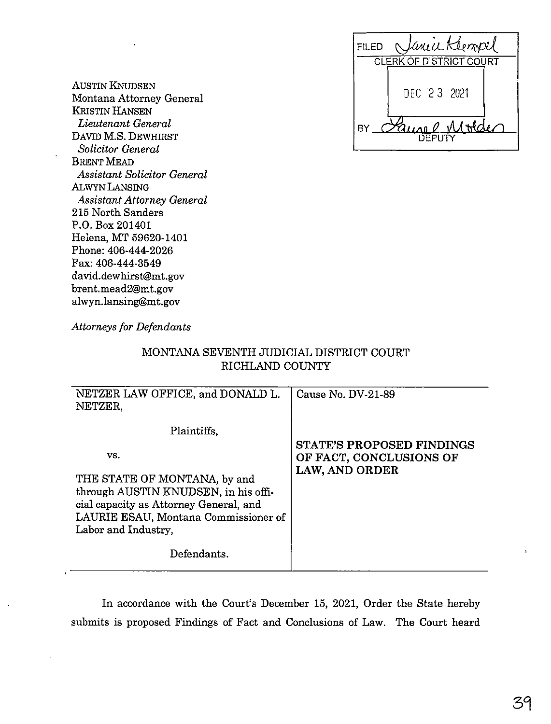

**AUSTIN KNUDSEN** Montana Attorney General **KRISTIN HANSEN** Lieutenant General DAVID M.S. DEWHIRST Solicitor General **BRENT MEAD Assistant Solicitor General ALWYN LANSING Assistant Attorney General** 215 North Sanders P.O. Box 201401 Helena, MT 59620-1401 Phone: 406-444-2026 Fax: 406-444-3549 david.dewhirst@mt.gov brent.mead2@mt.gov alwyn.lansing@mt.gov

**Attorneys for Defendants** 

# MONTANA SEVENTH JUDICIAL DISTRICT COURT RICHLAND COUNTY

| NETZER LAW OFFICE, and DONALD L.<br>NETZER.                                                                                                                                          | Cause No. DV-21-89                                                            |
|--------------------------------------------------------------------------------------------------------------------------------------------------------------------------------------|-------------------------------------------------------------------------------|
| Plaintiffs.                                                                                                                                                                          |                                                                               |
| VS.<br>THE STATE OF MONTANA, by and<br>through AUSTIN KNUDSEN, in his offi-<br>cial capacity as Attorney General, and<br>LAURIE ESAU, Montana Commissioner of<br>Labor and Industry, | <b>STATE'S PROPOSED FINDINGS</b><br>OF FACT, CONCLUSIONS OF<br>LAW, AND ORDER |
| Defendants.                                                                                                                                                                          |                                                                               |

In accordance with the Court's December 15, 2021, Order the State hereby submits is proposed Findings of Fact and Conclusions of Law. The Court heard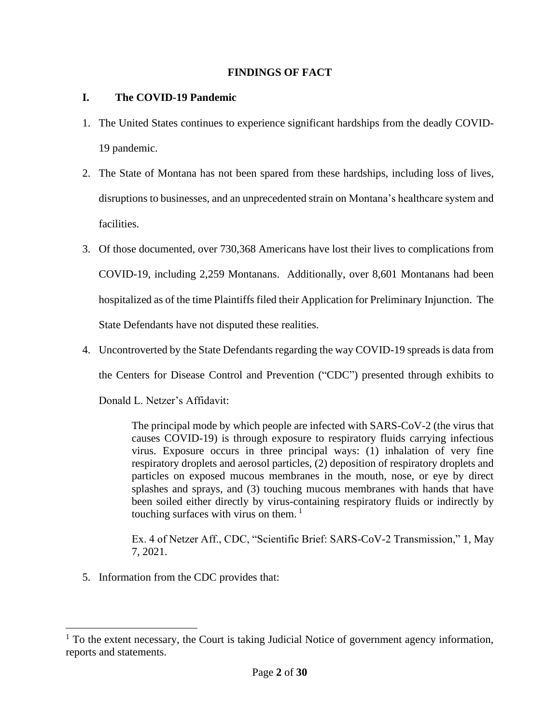# **FINDINGS OF FACT**

## **I. The COVID-19 Pandemic**

- 1. The United States continues to experience significant hardships from the deadly COVID-19 pandemic.
- 2. The State of Montana has not been spared from these hardships, including loss of lives, disruptions to businesses, and an unprecedented strain on Montana's healthcare system and facilities.
- 3. Of those documented, over 730,368 Americans have lost their lives to complications from COVID-19, including 2,259 Montanans. Additionally, over 8,601 Montanans had been hospitalized as of the time Plaintiffs filed their Application for Preliminary Injunction. The State Defendants have not disputed these realities.
- 4. Uncontroverted by the State Defendants regarding the way COVID-19 spreads is data from the Centers for Disease Control and Prevention ("CDC") presented through exhibits to Donald L. Netzer's Affidavit:

The principal mode by which people are infected with SARS-CoV-2 (the virus that causes COVID-19) is through exposure to respiratory fluids carrying infectious virus. Exposure occurs in three principal ways: (1) inhalation of very fine respiratory droplets and aerosol particles, (2) deposition of respiratory droplets and particles on exposed mucous membranes in the mouth, nose, or eye by direct splashes and sprays, and (3) touching mucous membranes with hands that have been soiled either directly by virus-containing respiratory fluids or indirectly by touching surfaces with virus on them. $<sup>1</sup>$ </sup>

Ex. 4 of Netzer Aff., CDC, "Scientific Brief: SARS-CoV-2 Transmission," 1, May 7, 2021.

5. Information from the CDC provides that:

 $<sup>1</sup>$  To the extent necessary, the Court is taking Judicial Notice of government agency information,</sup> reports and statements.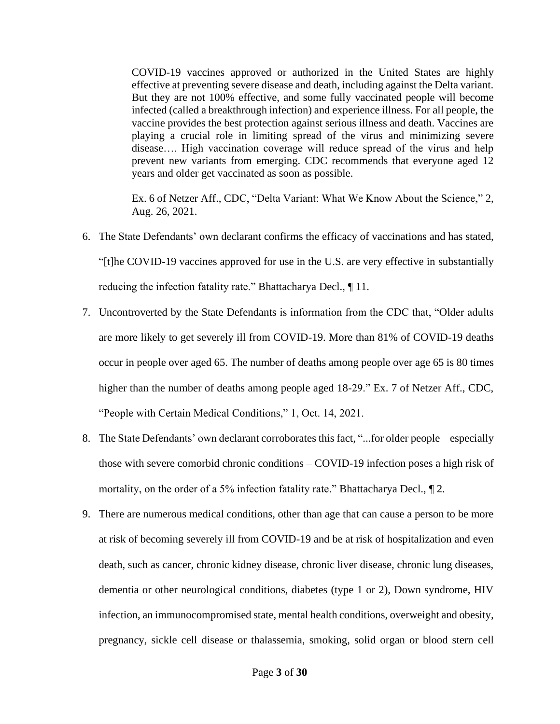COVID-19 vaccines approved or authorized in the United States are highly effective at preventing severe disease and death, including against the Delta variant. But they are not 100% effective, and some fully vaccinated people will become infected (called a breakthrough infection) and experience illness. For all people, the vaccine provides the best protection against serious illness and death. Vaccines are playing a crucial role in limiting spread of the virus and minimizing severe disease…. High vaccination coverage will reduce spread of the virus and help prevent new variants from emerging. CDC recommends that everyone aged 12 years and older get vaccinated as soon as possible.

Ex. 6 of Netzer Aff., CDC, "Delta Variant: What We Know About the Science," 2, Aug. 26, 2021.

- 6. The State Defendants' own declarant confirms the efficacy of vaccinations and has stated, "[t]he COVID-19 vaccines approved for use in the U.S. are very effective in substantially reducing the infection fatality rate." Bhattacharya Decl., ¶ 11.
- 7. Uncontroverted by the State Defendants is information from the CDC that, "Older adults are more likely to get severely ill from COVID-19. More than 81% of COVID-19 deaths occur in people over aged 65. The number of deaths among people over age 65 is 80 times higher than the number of deaths among people aged 18-29." Ex. 7 of Netzer Aff., CDC, "People with Certain Medical Conditions," 1, Oct. 14, 2021.
- 8. The State Defendants' own declarant corroborates this fact, "...for older people especially those with severe comorbid chronic conditions – COVID-19 infection poses a high risk of mortality, on the order of a 5% infection fatality rate." Bhattacharya Decl., ¶ 2.
- 9. There are numerous medical conditions, other than age that can cause a person to be more at risk of becoming severely ill from COVID-19 and be at risk of hospitalization and even death, such as cancer, chronic kidney disease, chronic liver disease, chronic lung diseases, dementia or other neurological conditions, diabetes (type 1 or 2), Down syndrome, HIV infection, an immunocompromised state, mental health conditions, overweight and obesity, pregnancy, sickle cell disease or thalassemia, smoking, solid organ or blood stern cell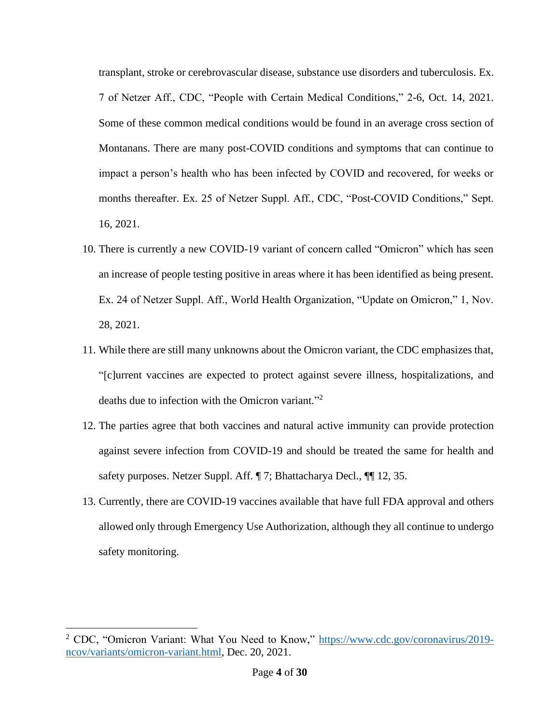transplant, stroke or cerebrovascular disease, substance use disorders and tuberculosis. Ex. 7 of Netzer Aff., CDC, "People with Certain Medical Conditions," 2-6, Oct. 14, 2021. Some of these common medical conditions would be found in an average cross section of Montanans. There are many post-COVID conditions and symptoms that can continue to impact a person's health who has been infected by COVID and recovered, for weeks or months thereafter. Ex. 25 of Netzer Suppl. Aff., CDC, "Post-COVID Conditions," Sept. 16, 2021.

- 10. There is currently a new COVID-19 variant of concern called "Omicron" which has seen an increase of people testing positive in areas where it has been identified as being present. Ex. 24 of Netzer Suppl. Aff., World Health Organization, "Update on Omicron," 1, Nov. 28, 2021.
- 11. While there are still many unknowns about the Omicron variant, the CDC emphasizes that, "[c]urrent vaccines are expected to protect against severe illness, hospitalizations, and deaths due to infection with the Omicron variant."<sup>2</sup>
- 12. The parties agree that both vaccines and natural active immunity can provide protection against severe infection from COVID-19 and should be treated the same for health and safety purposes. Netzer Suppl. Aff. ¶ 7; Bhattacharya Decl., ¶¶ 12, 35.
- 13. Currently, there are COVID-19 vaccines available that have full FDA approval and others allowed only through Emergency Use Authorization, although they all continue to undergo safety monitoring.

<sup>2</sup> CDC, "Omicron Variant: What You Need to Know," [https://www.cdc.gov/coronavirus/2019](https://www.cdc.gov/coronavirus/2019-ncov/variants/omicron-variant.html) [ncov/variants/omicron-variant.html,](https://www.cdc.gov/coronavirus/2019-ncov/variants/omicron-variant.html) Dec. 20, 2021.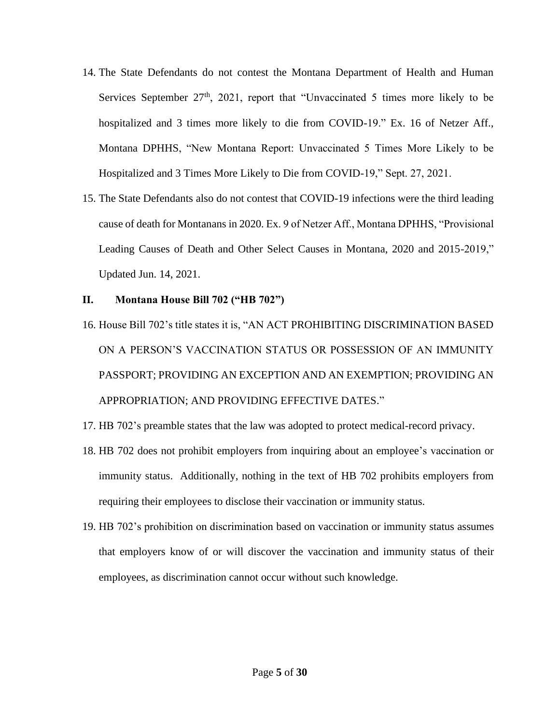- 14. The State Defendants do not contest the Montana Department of Health and Human Services September  $27<sup>th</sup>$ , 2021, report that "Unvaccinated 5 times more likely to be hospitalized and 3 times more likely to die from COVID-19." Ex. 16 of Netzer Aff., Montana DPHHS, "New Montana Report: Unvaccinated 5 Times More Likely to be Hospitalized and 3 Times More Likely to Die from COVID-19," Sept. 27, 2021.
- 15. The State Defendants also do not contest that COVID-19 infections were the third leading cause of death for Montanans in 2020. Ex. 9 of Netzer Aff., Montana DPHHS, "Provisional Leading Causes of Death and Other Select Causes in Montana, 2020 and 2015-2019," Updated Jun. 14, 2021.

### **II. Montana House Bill 702 ("HB 702")**

- 16. House Bill 702's title states it is, "AN ACT PROHIBITING DISCRIMINATION BASED ON A PERSON'S VACCINATION STATUS OR POSSESSION OF AN IMMUNITY PASSPORT; PROVIDING AN EXCEPTION AND AN EXEMPTION; PROVIDING AN APPROPRIATION; AND PROVIDING EFFECTIVE DATES."
- 17. HB 702's preamble states that the law was adopted to protect medical-record privacy.
- 18. HB 702 does not prohibit employers from inquiring about an employee's vaccination or immunity status. Additionally, nothing in the text of HB 702 prohibits employers from requiring their employees to disclose their vaccination or immunity status.
- 19. HB 702's prohibition on discrimination based on vaccination or immunity status assumes that employers know of or will discover the vaccination and immunity status of their employees, as discrimination cannot occur without such knowledge.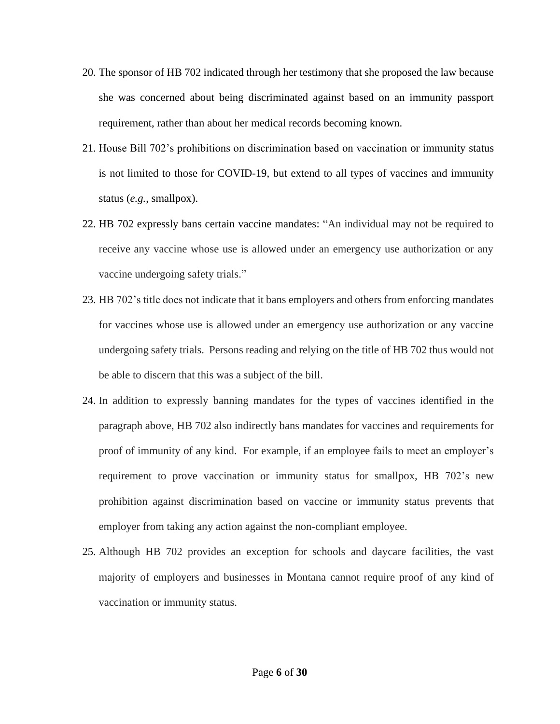- 20. The sponsor of HB 702 indicated through her testimony that she proposed the law because she was concerned about being discriminated against based on an immunity passport requirement, rather than about her medical records becoming known.
- 21. House Bill 702's prohibitions on discrimination based on vaccination or immunity status is not limited to those for COVID-19, but extend to all types of vaccines and immunity status (*e.g.*, smallpox).
- 22. HB 702 expressly bans certain vaccine mandates: "An individual may not be required to receive any vaccine whose use is allowed under an emergency use authorization or any vaccine undergoing safety trials."
- 23. HB 702's title does not indicate that it bans employers and others from enforcing mandates for vaccines whose use is allowed under an emergency use authorization or any vaccine undergoing safety trials. Persons reading and relying on the title of HB 702 thus would not be able to discern that this was a subject of the bill.
- 24. In addition to expressly banning mandates for the types of vaccines identified in the paragraph above, HB 702 also indirectly bans mandates for vaccines and requirements for proof of immunity of any kind. For example, if an employee fails to meet an employer's requirement to prove vaccination or immunity status for smallpox, HB 702's new prohibition against discrimination based on vaccine or immunity status prevents that employer from taking any action against the non-compliant employee.
- 25. Although HB 702 provides an exception for schools and daycare facilities, the vast majority of employers and businesses in Montana cannot require proof of any kind of vaccination or immunity status.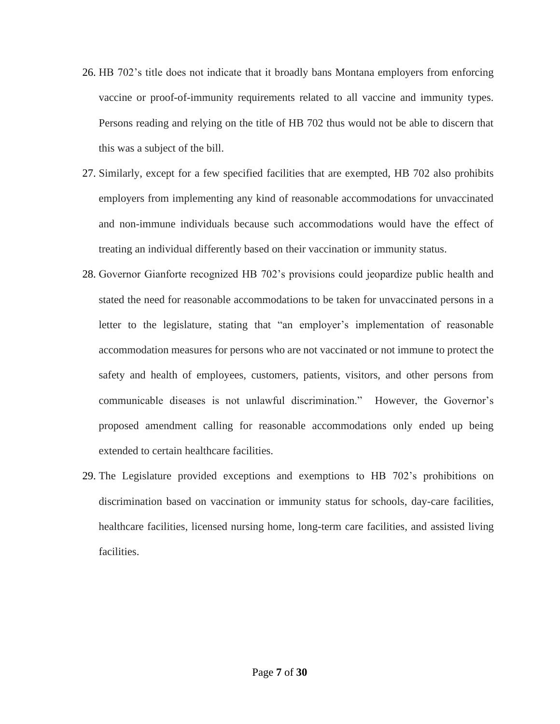- 26. HB 702's title does not indicate that it broadly bans Montana employers from enforcing vaccine or proof-of-immunity requirements related to all vaccine and immunity types. Persons reading and relying on the title of HB 702 thus would not be able to discern that this was a subject of the bill.
- 27. Similarly, except for a few specified facilities that are exempted, HB 702 also prohibits employers from implementing any kind of reasonable accommodations for unvaccinated and non-immune individuals because such accommodations would have the effect of treating an individual differently based on their vaccination or immunity status.
- 28. Governor Gianforte recognized HB 702's provisions could jeopardize public health and stated the need for reasonable accommodations to be taken for unvaccinated persons in a letter to the legislature, stating that "an employer's implementation of reasonable accommodation measures for persons who are not vaccinated or not immune to protect the safety and health of employees, customers, patients, visitors, and other persons from communicable diseases is not unlawful discrimination." However, the Governor's proposed amendment calling for reasonable accommodations only ended up being extended to certain healthcare facilities.
- 29. The Legislature provided exceptions and exemptions to HB 702's prohibitions on discrimination based on vaccination or immunity status for schools, day-care facilities, healthcare facilities, licensed nursing home, long-term care facilities, and assisted living facilities.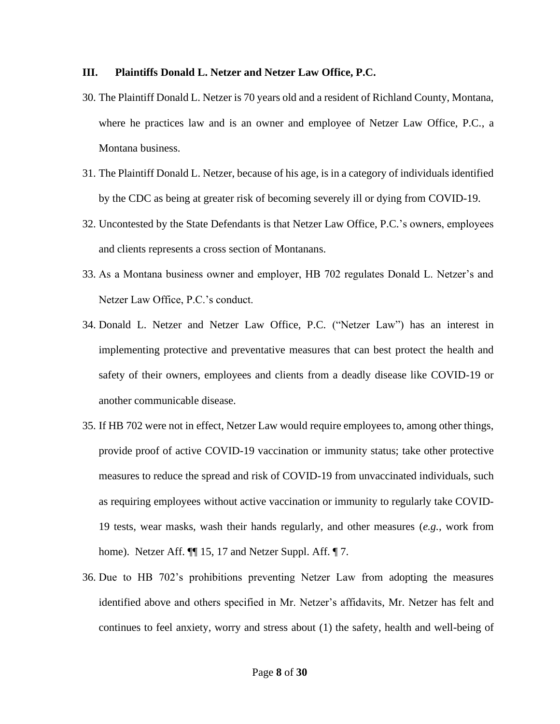### **III. Plaintiffs Donald L. Netzer and Netzer Law Office, P.C.**

- 30. The Plaintiff Donald L. Netzer is 70 years old and a resident of Richland County, Montana, where he practices law and is an owner and employee of Netzer Law Office, P.C., a Montana business.
- 31. The Plaintiff Donald L. Netzer, because of his age, is in a category of individuals identified by the CDC as being at greater risk of becoming severely ill or dying from COVID-19.
- 32. Uncontested by the State Defendants is that Netzer Law Office, P.C.'s owners, employees and clients represents a cross section of Montanans.
- 33. As a Montana business owner and employer, HB 702 regulates Donald L. Netzer's and Netzer Law Office, P.C.'s conduct.
- 34. Donald L. Netzer and Netzer Law Office, P.C. ("Netzer Law") has an interest in implementing protective and preventative measures that can best protect the health and safety of their owners, employees and clients from a deadly disease like COVID-19 or another communicable disease.
- 35. If HB 702 were not in effect, Netzer Law would require employees to, among other things, provide proof of active COVID-19 vaccination or immunity status; take other protective measures to reduce the spread and risk of COVID-19 from unvaccinated individuals, such as requiring employees without active vaccination or immunity to regularly take COVID-19 tests, wear masks, wash their hands regularly, and other measures (*e.g.*, work from home). Netzer Aff.  $\P$ [ 15, 17 and Netzer Suppl. Aff. [7.
- 36. Due to HB 702's prohibitions preventing Netzer Law from adopting the measures identified above and others specified in Mr. Netzer's affidavits, Mr. Netzer has felt and continues to feel anxiety, worry and stress about (1) the safety, health and well-being of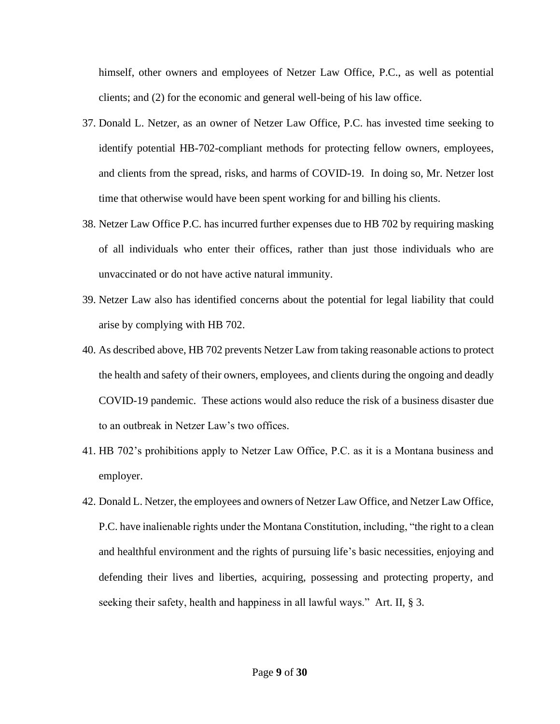himself, other owners and employees of Netzer Law Office, P.C., as well as potential clients; and (2) for the economic and general well-being of his law office.

- 37. Donald L. Netzer, as an owner of Netzer Law Office, P.C. has invested time seeking to identify potential HB-702-compliant methods for protecting fellow owners, employees, and clients from the spread, risks, and harms of COVID-19. In doing so, Mr. Netzer lost time that otherwise would have been spent working for and billing his clients.
- 38. Netzer Law Office P.C. has incurred further expenses due to HB 702 by requiring masking of all individuals who enter their offices, rather than just those individuals who are unvaccinated or do not have active natural immunity.
- 39. Netzer Law also has identified concerns about the potential for legal liability that could arise by complying with HB 702.
- 40. As described above, HB 702 prevents Netzer Law from taking reasonable actions to protect the health and safety of their owners, employees, and clients during the ongoing and deadly COVID-19 pandemic. These actions would also reduce the risk of a business disaster due to an outbreak in Netzer Law's two offices.
- 41. HB 702's prohibitions apply to Netzer Law Office, P.C. as it is a Montana business and employer.
- 42. Donald L. Netzer, the employees and owners of Netzer Law Office, and Netzer Law Office, P.C. have inalienable rights under the Montana Constitution, including, "the right to a clean and healthful environment and the rights of pursuing life's basic necessities, enjoying and defending their lives and liberties, acquiring, possessing and protecting property, and seeking their safety, health and happiness in all lawful ways." Art. II, § 3.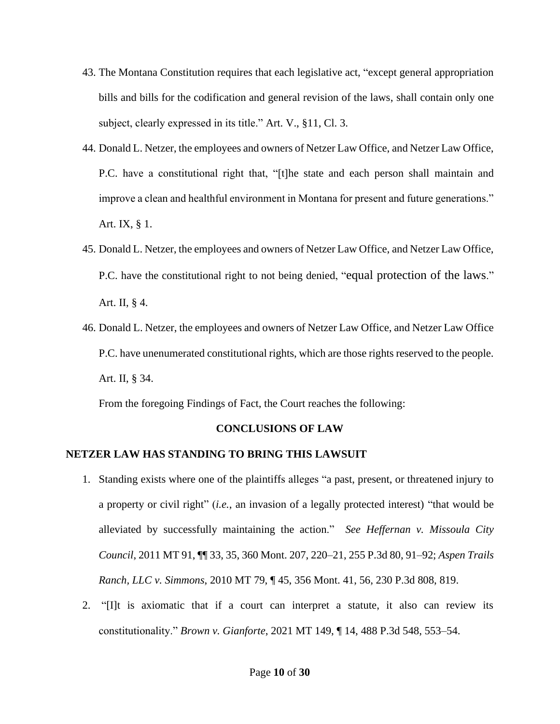- 43. The Montana Constitution requires that each legislative act, "except general appropriation bills and bills for the codification and general revision of the laws, shall contain only one subject, clearly expressed in its title." Art. V., §11, Cl. 3.
- 44. Donald L. Netzer, the employees and owners of Netzer Law Office, and Netzer Law Office, P.C. have a constitutional right that, "[t]he state and each person shall maintain and improve a clean and healthful environment in Montana for present and future generations." Art. IX, § 1.
- 45. Donald L. Netzer, the employees and owners of Netzer Law Office, and Netzer Law Office, P.C. have the constitutional right to not being denied, "equal protection of the laws." Art. II, § 4.
- 46. Donald L. Netzer, the employees and owners of Netzer Law Office, and Netzer Law Office P.C. have unenumerated constitutional rights, which are those rights reserved to the people. Art. II, § 34.

From the foregoing Findings of Fact, the Court reaches the following:

### **CONCLUSIONS OF LAW**

## **NETZER LAW HAS STANDING TO BRING THIS LAWSUIT**

- 1. Standing exists where one of the plaintiffs alleges "a past, present, or threatened injury to a property or civil right" (*i.e.*, an invasion of a legally protected interest) "that would be alleviated by successfully maintaining the action." *See Heffernan v. Missoula City Council*, 2011 MT 91, ¶¶ 33, 35, 360 Mont. 207, 220–21, 255 P.3d 80, 91–92; *Aspen Trails Ranch, LLC v. Simmons*, 2010 MT 79, ¶ 45, 356 Mont. 41, 56, 230 P.3d 808, 819.
- 2. "[I]t is axiomatic that if a court can interpret a statute, it also can review its constitutionality." *Brown v. Gianforte*, 2021 MT 149, ¶ 14, 488 P.3d 548, 553–54.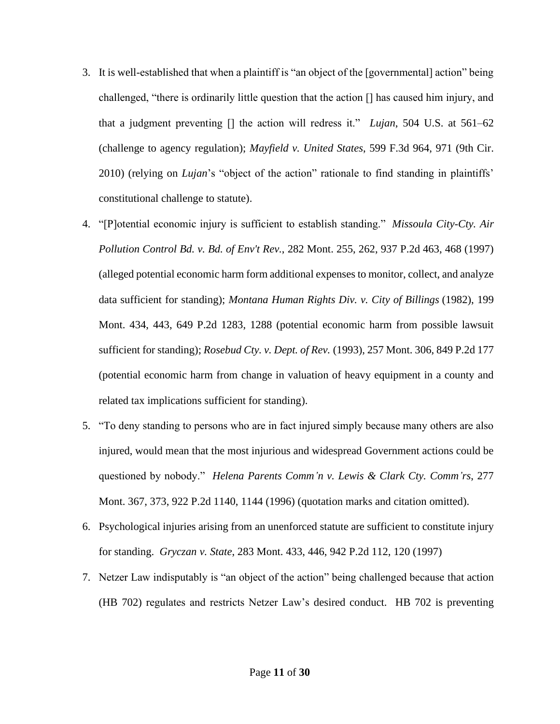- 3. It is well-established that when a plaintiff is "an object of the [governmental] action" being challenged, "there is ordinarily little question that the action [] has caused him injury, and that a judgment preventing [] the action will redress it." *Lujan*, 504 U.S. at 561–62 (challenge to agency regulation); *Mayfield v. United States*, 599 F.3d 964, 971 (9th Cir. 2010) (relying on *Lujan*'s "object of the action" rationale to find standing in plaintiffs' constitutional challenge to statute).
- 4. "[P]otential economic injury is sufficient to establish standing." *Missoula City-Cty. Air Pollution Control Bd. v. Bd. of Env't Rev.*, 282 Mont. 255, 262, 937 P.2d 463, 468 (1997) (alleged potential economic harm form additional expenses to monitor, collect, and analyze data sufficient for standing); *Montana Human Rights Div. v. City of Billings* (1982), 199 Mont. 434, 443, 649 P.2d 1283, 1288 (potential economic harm from possible lawsuit sufficient for standing); *Rosebud Cty. v. Dept. of Rev.* (1993), 257 Mont. 306, 849 P.2d 177 (potential economic harm from change in valuation of heavy equipment in a county and related tax implications sufficient for standing).
- 5. "To deny standing to persons who are in fact injured simply because many others are also injured, would mean that the most injurious and widespread Government actions could be questioned by nobody." *Helena Parents Comm'n v. Lewis & Clark Cty. Comm'rs*, 277 Mont. 367, 373, 922 P.2d 1140, 1144 (1996) (quotation marks and citation omitted).
- 6. Psychological injuries arising from an unenforced statute are sufficient to constitute injury for standing. *Gryczan v. State*, 283 Mont. 433, 446, 942 P.2d 112, 120 (1997)
- 7. Netzer Law indisputably is "an object of the action" being challenged because that action (HB 702) regulates and restricts Netzer Law's desired conduct. HB 702 is preventing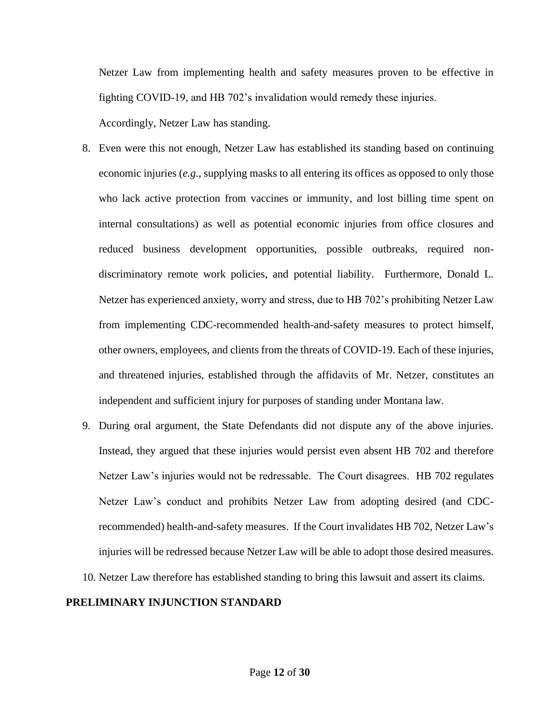Netzer Law from implementing health and safety measures proven to be effective in fighting COVID-19, and HB 702's invalidation would remedy these injuries.

Accordingly, Netzer Law has standing.

- 8. Even were this not enough, Netzer Law has established its standing based on continuing economic injuries (*e.g.*, supplying masks to all entering its offices as opposed to only those who lack active protection from vaccines or immunity, and lost billing time spent on internal consultations) as well as potential economic injuries from office closures and reduced business development opportunities, possible outbreaks, required nondiscriminatory remote work policies, and potential liability. Furthermore, Donald L. Netzer has experienced anxiety, worry and stress, due to HB 702's prohibiting Netzer Law from implementing CDC-recommended health-and-safety measures to protect himself, other owners, employees, and clients from the threats of COVID-19. Each of these injuries, and threatened injuries, established through the affidavits of Mr. Netzer, constitutes an independent and sufficient injury for purposes of standing under Montana law.
- 9. During oral argument, the State Defendants did not dispute any of the above injuries. Instead, they argued that these injuries would persist even absent HB 702 and therefore Netzer Law's injuries would not be redressable. The Court disagrees. HB 702 regulates Netzer Law's conduct and prohibits Netzer Law from adopting desired (and CDCrecommended) health-and-safety measures. If the Court invalidates HB 702, Netzer Law's injuries will be redressed because Netzer Law will be able to adopt those desired measures.
- 10. Netzer Law therefore has established standing to bring this lawsuit and assert its claims.

#### **PRELIMINARY INJUNCTION STANDARD**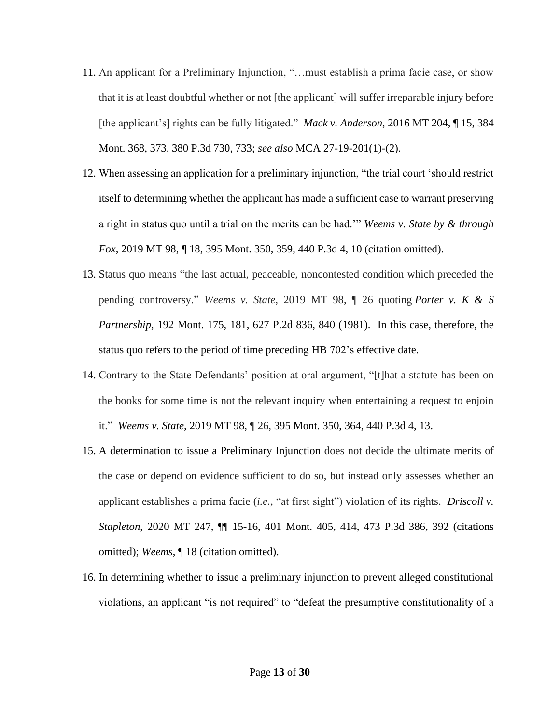- 11. An applicant for a Preliminary Injunction, "…must establish a prima facie case, or show that it is at least doubtful whether or not [the applicant] will suffer irreparable injury before [the applicant's] rights can be fully litigated." *Mack v. Anderson*, 2016 MT 204, ¶ 15, 384 Mont. 368, 373, 380 P.3d 730, 733; *see also* MCA 27-19-201(1)-(2).
- 12. When assessing an application for a preliminary injunction, "the trial court 'should restrict itself to determining whether the applicant has made a sufficient case to warrant preserving a right in status quo until a trial on the merits can be had.'" *Weems v. State by & through Fox*, 2019 MT 98, ¶ 18, 395 Mont. 350, 359, 440 P.3d 4, 10 (citation omitted).
- 13. Status quo means "the last actual, peaceable, noncontested condition which preceded the pending controversy." *Weems v. State,* 2019 MT 98, ¶ 26 quoting *Porter v. K & S Partnership*, 192 Mont. 175, 181, 627 P.2d 836, 840 (1981). In this case, therefore, the status quo refers to the period of time preceding HB 702's effective date.
- 14. Contrary to the State Defendants' position at oral argument, "[t]hat a statute has been on the books for some time is not the relevant inquiry when entertaining a request to enjoin it." *Weems v. State,* 2019 MT 98, ¶ 26, 395 Mont. 350, 364, 440 P.3d 4, 13.
- 15. A determination to issue a Preliminary Injunction does not decide the ultimate merits of the case or depend on evidence sufficient to do so, but instead only assesses whether an applicant establishes a prima facie (*i.e.*, "at first sight") violation of its rights. *Driscoll v. Stapleton*, 2020 MT 247, ¶¶ 15-16, 401 Mont. 405, 414, 473 P.3d 386, 392 (citations omitted); *Weems*, ¶ 18 (citation omitted).
- 16. In determining whether to issue a preliminary injunction to prevent alleged constitutional violations, an applicant "is not required" to "defeat the presumptive constitutionality of a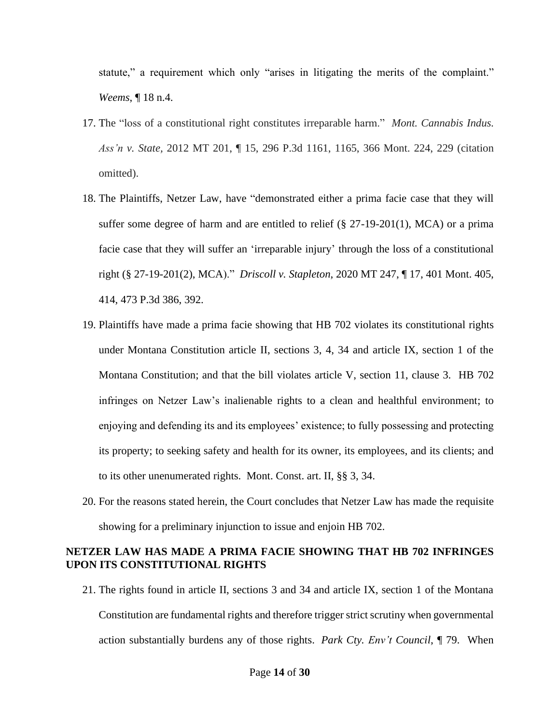statute," a requirement which only "arises in litigating the merits of the complaint." *Weems*, ¶ 18 n.4.

- 17. The "loss of a constitutional right constitutes irreparable harm." *Mont. Cannabis Indus. Ass'n v. State,* 2012 MT 201, ¶ 15, 296 P.3d 1161, 1165, 366 Mont. 224, 229 (citation omitted).
- 18. The Plaintiffs, Netzer Law, have "demonstrated either a prima facie case that they will suffer some degree of harm and are entitled to relief  $(\S 27-19-201(1), MCA)$  or a prima facie case that they will suffer an 'irreparable injury' through the loss of a constitutional right (§ 27-19-201(2), MCA)." *Driscoll v. Stapleton*, 2020 MT 247, ¶ 17, 401 Mont. 405, 414, 473 P.3d 386, 392.
- 19. Plaintiffs have made a prima facie showing that HB 702 violates its constitutional rights under Montana Constitution article II, sections 3, 4, 34 and article IX, section 1 of the Montana Constitution; and that the bill violates article V, section 11, clause 3. HB 702 infringes on Netzer Law's inalienable rights to a clean and healthful environment; to enjoying and defending its and its employees' existence; to fully possessing and protecting its property; to seeking safety and health for its owner, its employees, and its clients; and to its other unenumerated rights. Mont. Const. art. II, §§ 3, 34.
- 20. For the reasons stated herein, the Court concludes that Netzer Law has made the requisite showing for a preliminary injunction to issue and enjoin HB 702.

## **NETZER LAW HAS MADE A PRIMA FACIE SHOWING THAT HB 702 INFRINGES UPON ITS CONSTITUTIONAL RIGHTS**

21. The rights found in article II, sections 3 and 34 and article IX, section 1 of the Montana Constitution are fundamental rights and therefore trigger strict scrutiny when governmental action substantially burdens any of those rights. *Park Cty. Env't Council*, ¶ 79. When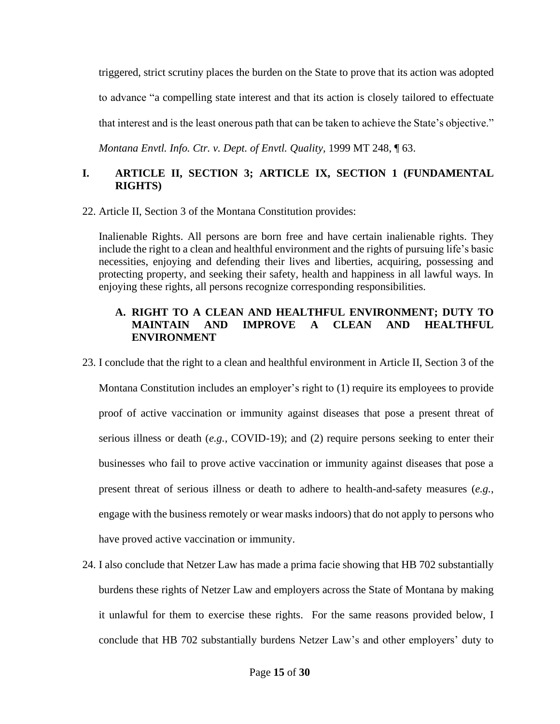triggered, strict scrutiny places the burden on the State to prove that its action was adopted to advance "a compelling state interest and that its action is closely tailored to effectuate that interest and is the least onerous path that can be taken to achieve the State's objective."

*Montana Envtl. Info. Ctr. v. Dept. of Envtl. Quality,* 1999 MT 248, ¶ 63.

# **I. ARTICLE II, SECTION 3; ARTICLE IX, SECTION 1 (FUNDAMENTAL RIGHTS)**

22. Article II, Section 3 of the Montana Constitution provides:

Inalienable Rights. All persons are born free and have certain inalienable rights. They include the right to a clean and healthful environment and the rights of pursuing life's basic necessities, enjoying and defending their lives and liberties, acquiring, possessing and protecting property, and seeking their safety, health and happiness in all lawful ways. In enjoying these rights, all persons recognize corresponding responsibilities.

## **A. RIGHT TO A CLEAN AND HEALTHFUL ENVIRONMENT; DUTY TO MAINTAIN AND IMPROVE A CLEAN AND HEALTHFUL ENVIRONMENT**

- 23. I conclude that the right to a clean and healthful environment in Article II, Section 3 of the Montana Constitution includes an employer's right to (1) require its employees to provide proof of active vaccination or immunity against diseases that pose a present threat of serious illness or death (*e.g.*, COVID-19); and (2) require persons seeking to enter their businesses who fail to prove active vaccination or immunity against diseases that pose a present threat of serious illness or death to adhere to health-and-safety measures (*e.g.*, engage with the business remotely or wear masks indoors) that do not apply to persons who have proved active vaccination or immunity.
- 24. I also conclude that Netzer Law has made a prima facie showing that HB 702 substantially burdens these rights of Netzer Law and employers across the State of Montana by making it unlawful for them to exercise these rights. For the same reasons provided below, I conclude that HB 702 substantially burdens Netzer Law's and other employers' duty to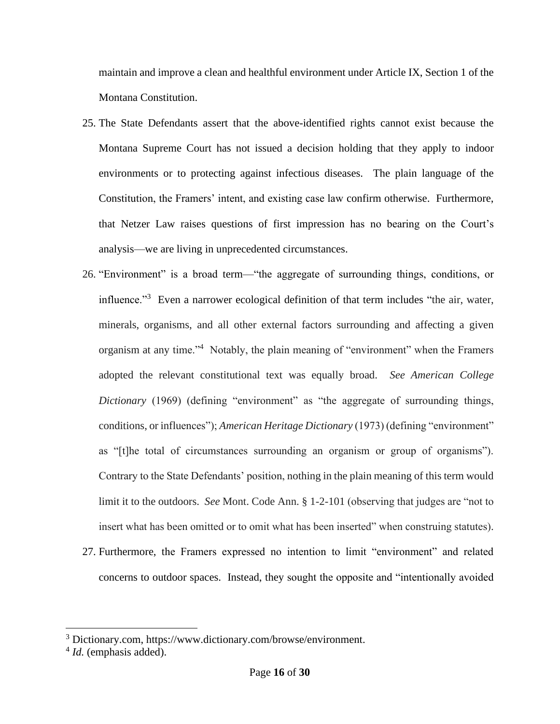maintain and improve a clean and healthful environment under Article IX, Section 1 of the Montana Constitution.

- 25. The State Defendants assert that the above-identified rights cannot exist because the Montana Supreme Court has not issued a decision holding that they apply to indoor environments or to protecting against infectious diseases. The plain language of the Constitution, the Framers' intent, and existing case law confirm otherwise. Furthermore, that Netzer Law raises questions of first impression has no bearing on the Court's analysis—we are living in unprecedented circumstances.
- 26. "Environment" is a broad term—"the aggregate of surrounding things, conditions, or influence."<sup>3</sup> Even a narrower ecological definition of that term includes "the air, water, minerals, organisms, and all other external factors surrounding and affecting a given organism at any time."<sup>4</sup> Notably, the plain meaning of "environment" when the Framers adopted the relevant constitutional text was equally broad. *See American College Dictionary* (1969) (defining "environment" as "the aggregate of surrounding things, conditions, or influences"); *American Heritage Dictionary* (1973) (defining "environment" as "[t]he total of circumstances surrounding an organism or group of organisms"). Contrary to the State Defendants' position, nothing in the plain meaning of this term would limit it to the outdoors. *See* Mont. Code Ann. § 1-2-101 (observing that judges are "not to insert what has been omitted or to omit what has been inserted" when construing statutes).
- 27. Furthermore, the Framers expressed no intention to limit "environment" and related concerns to outdoor spaces. Instead, they sought the opposite and "intentionally avoided

<sup>3</sup> Dictionary.com, https://www.dictionary.com/browse/environment.

<sup>4</sup> *Id.* (emphasis added).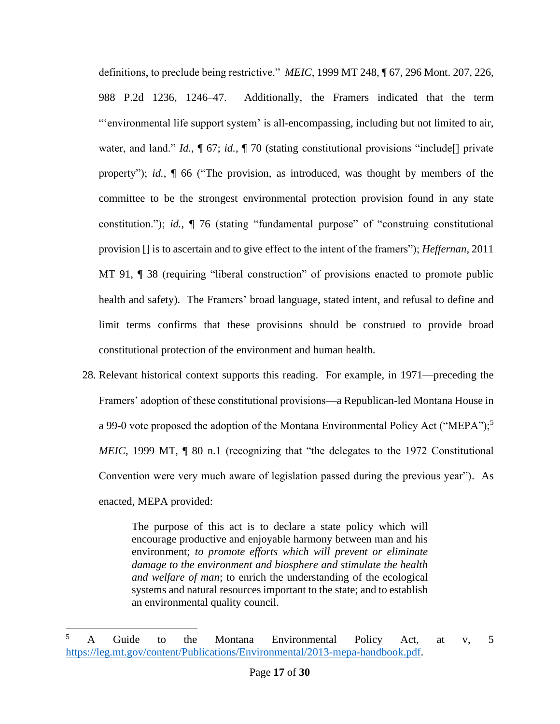definitions, to preclude being restrictive." *MEIC*, 1999 MT 248, ¶ 67, 296 Mont. 207, 226, 988 P.2d 1236, 1246–47. Additionally, the Framers indicated that the term "'environmental life support system' is all-encompassing, including but not limited to air, water, and land." *Id.*, ¶ 67; *id.*, ¶ 70 (stating constitutional provisions "include[] private property"); *id.*, ¶ 66 ("The provision, as introduced, was thought by members of the committee to be the strongest environmental protection provision found in any state constitution."); *id.*, ¶ 76 (stating "fundamental purpose" of "construing constitutional provision [] is to ascertain and to give effect to the intent of the framers"); *Heffernan*, 2011 MT 91,  $\parallel$  38 (requiring "liberal construction" of provisions enacted to promote public health and safety). The Framers' broad language, stated intent, and refusal to define and limit terms confirms that these provisions should be construed to provide broad constitutional protection of the environment and human health.

28. Relevant historical context supports this reading. For example, in 1971—preceding the Framers' adoption of these constitutional provisions—a Republican-led Montana House in a 99-0 vote proposed the adoption of the Montana Environmental Policy Act ("MEPA");<sup>5</sup> *MEIC*, 1999 MT,  $\parallel$  80 n.1 (recognizing that "the delegates to the 1972 Constitutional Convention were very much aware of legislation passed during the previous year"). As enacted, MEPA provided:

> The purpose of this act is to declare a state policy which will encourage productive and enjoyable harmony between man and his environment; *to promote efforts which will prevent or eliminate damage to the environment and biosphere and stimulate the health and welfare of man*; to enrich the understanding of the ecological systems and natural resources important to the state; and to establish an environmental quality council.

<sup>&</sup>lt;sup>5</sup> A Guide to the Montana Environmental Policy Act, at v, 5 [https://leg.mt.gov/content/Publications/Environmental/2013-mepa-handbook.pdf.](https://leg.mt.gov/content/Publications/Environmental/2013-mepa-handbook.pdf)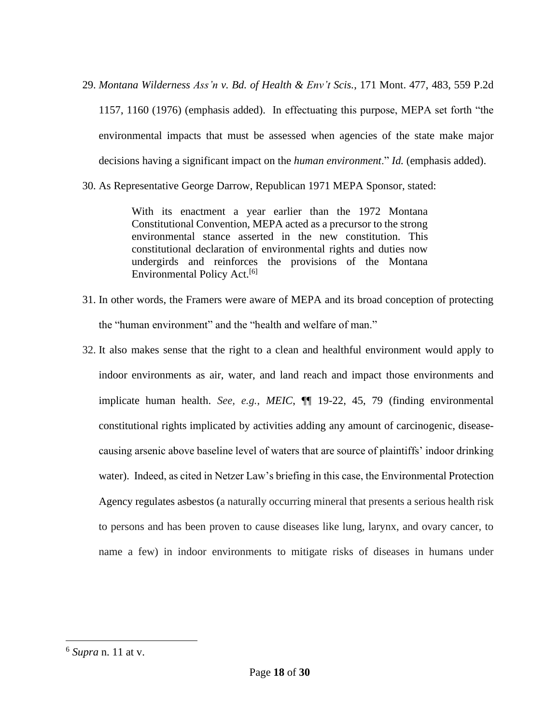29. *Montana Wilderness Ass'n v. Bd. of Health & Env't Scis.*, 171 Mont. 477, 483, 559 P.2d 1157, 1160 (1976) (emphasis added). In effectuating this purpose, MEPA set forth "the environmental impacts that must be assessed when agencies of the state make major decisions having a significant impact on the *human environment*." *Id.* (emphasis added).

30. As Representative George Darrow, Republican 1971 MEPA Sponsor, stated:

With its enactment a year earlier than the 1972 Montana Constitutional Convention, MEPA acted as a precursor to the strong environmental stance asserted in the new constitution. This constitutional declaration of environmental rights and duties now undergirds and reinforces the provisions of the Montana Environmental Policy Act.[6]

- 31. In other words, the Framers were aware of MEPA and its broad conception of protecting the "human environment" and the "health and welfare of man."
- 32. It also makes sense that the right to a clean and healthful environment would apply to indoor environments as air, water, and land reach and impact those environments and implicate human health. *See, e.g.*, *MEIC*, ¶¶ 19-22, 45, 79 (finding environmental constitutional rights implicated by activities adding any amount of carcinogenic, diseasecausing arsenic above baseline level of waters that are source of plaintiffs' indoor drinking water). Indeed, as cited in Netzer Law's briefing in this case, the Environmental Protection Agency regulates asbestos (a naturally occurring mineral that presents a serious health risk to persons and has been proven to cause diseases like lung, larynx, and ovary cancer, to name a few) in indoor environments to mitigate risks of diseases in humans under

<sup>6</sup> *Supra* n. 11 at v.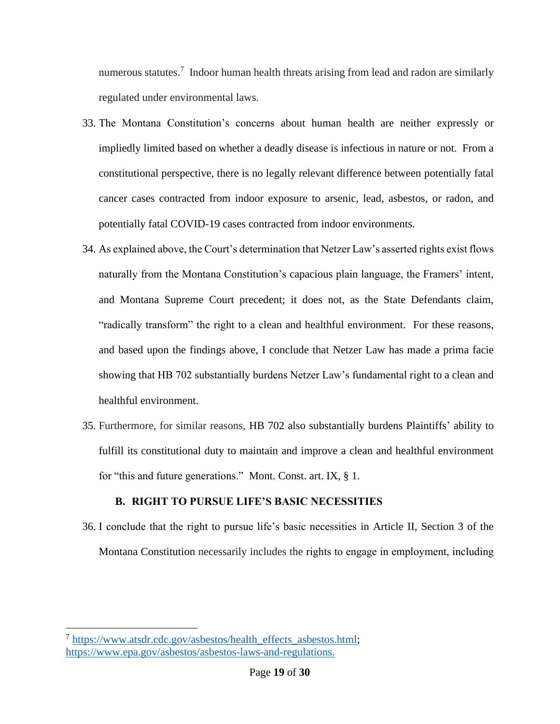numerous statutes.<sup>7</sup> Indoor human health threats arising from lead and radon are similarly regulated under environmental laws.

- 33. The Montana Constitution's concerns about human health are neither expressly or impliedly limited based on whether a deadly disease is infectious in nature or not. From a constitutional perspective, there is no legally relevant difference between potentially fatal cancer cases contracted from indoor exposure to arsenic, lead, asbestos, or radon, and potentially fatal COVID-19 cases contracted from indoor environments.
- 34. As explained above, the Court's determination that Netzer Law's asserted rights exist flows naturally from the Montana Constitution's capacious plain language, the Framers' intent, and Montana Supreme Court precedent; it does not, as the State Defendants claim, "radically transform" the right to a clean and healthful environment. For these reasons, and based upon the findings above, I conclude that Netzer Law has made a prima facie showing that HB 702 substantially burdens Netzer Law's fundamental right to a clean and healthful environment.
- 35. Furthermore, for similar reasons, HB 702 also substantially burdens Plaintiffs' ability to fulfill its constitutional duty to maintain and improve a clean and healthful environment for "this and future generations." Mont. Const. art. IX, § 1.

# **B. RIGHT TO PURSUE LIFE'S BASIC NECESSITIES**

36. I conclude that the right to pursue life's basic necessities in Article II, Section 3 of the Montana Constitution necessarily includes the rights to engage in employment, including

<sup>&</sup>lt;sup>7</sup> [https://www.atsdr.cdc.gov/asbestos/health\\_effects\\_asbestos.html;](https://www.atsdr.cdc.gov/asbestos/health_effects_asbestos.html) [https://www.epa.gov/asbestos/asbestos-laws-and-regulations.](https://www.epa.gov/asbestos/asbestos-laws-and-regulations)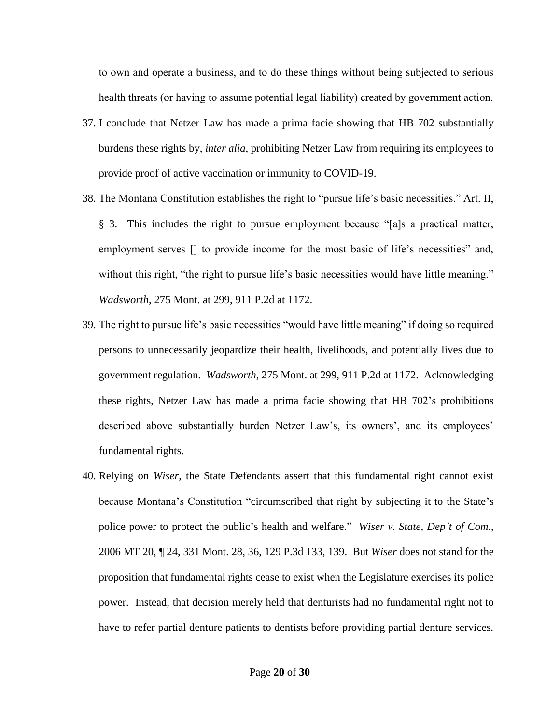to own and operate a business, and to do these things without being subjected to serious health threats (or having to assume potential legal liability) created by government action.

- 37. I conclude that Netzer Law has made a prima facie showing that HB 702 substantially burdens these rights by, *inter alia*, prohibiting Netzer Law from requiring its employees to provide proof of active vaccination or immunity to COVID-19.
- 38. The Montana Constitution establishes the right to "pursue life's basic necessities." Art. II, § 3. This includes the right to pursue employment because "[a]s a practical matter, employment serves [] to provide income for the most basic of life's necessities" and, without this right, "the right to pursue life's basic necessities would have little meaning." *Wadsworth*, 275 Mont. at 299, 911 P.2d at 1172.
- 39. The right to pursue life's basic necessities "would have little meaning" if doing so required persons to unnecessarily jeopardize their health, livelihoods, and potentially lives due to government regulation. *Wadsworth*, 275 Mont. at 299, 911 P.2d at 1172. Acknowledging these rights, Netzer Law has made a prima facie showing that HB 702's prohibitions described above substantially burden Netzer Law's, its owners', and its employees' fundamental rights.
- 40. Relying on *Wiser*, the State Defendants assert that this fundamental right cannot exist because Montana's Constitution "circumscribed that right by subjecting it to the State's police power to protect the public's health and welfare." *Wiser v. State, Dep't of Com.*, 2006 MT 20, ¶ 24, 331 Mont. 28, 36, 129 P.3d 133, 139. But *Wiser* does not stand for the proposition that fundamental rights cease to exist when the Legislature exercises its police power. Instead, that decision merely held that denturists had no fundamental right not to have to refer partial denture patients to dentists before providing partial denture services.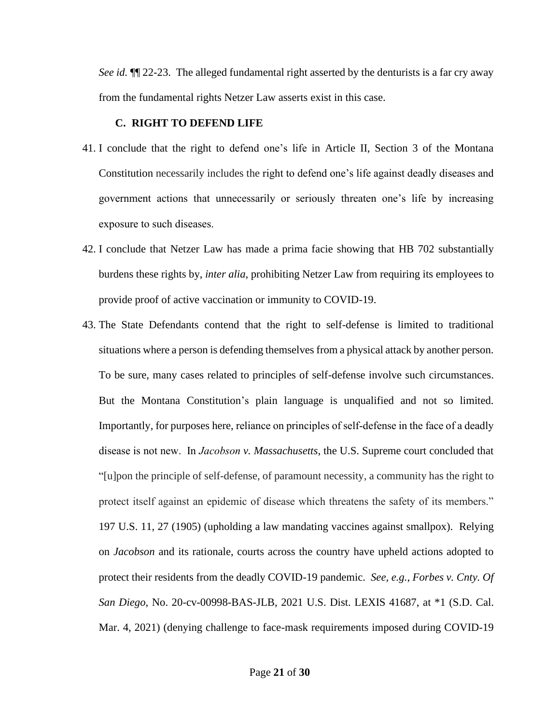*See id.* ¶¶ 22-23. The alleged fundamental right asserted by the denturists is a far cry away from the fundamental rights Netzer Law asserts exist in this case.

### **C. RIGHT TO DEFEND LIFE**

- 41. I conclude that the right to defend one's life in Article II, Section 3 of the Montana Constitution necessarily includes the right to defend one's life against deadly diseases and government actions that unnecessarily or seriously threaten one's life by increasing exposure to such diseases.
- 42. I conclude that Netzer Law has made a prima facie showing that HB 702 substantially burdens these rights by, *inter alia*, prohibiting Netzer Law from requiring its employees to provide proof of active vaccination or immunity to COVID-19.
- 43. The State Defendants contend that the right to self-defense is limited to traditional situations where a person is defending themselves from a physical attack by another person. To be sure, many cases related to principles of self-defense involve such circumstances. But the Montana Constitution's plain language is unqualified and not so limited. Importantly, for purposes here, reliance on principles of self-defense in the face of a deadly disease is not new. In *Jacobson v. Massachusetts*, the U.S. Supreme court concluded that "[u]pon the principle of self-defense, of paramount necessity, a community has the right to protect itself against an epidemic of disease which threatens the safety of its members." 197 U.S. 11, 27 (1905) (upholding a law mandating vaccines against smallpox). Relying on *Jacobson* and its rationale, courts across the country have upheld actions adopted to protect their residents from the deadly COVID-19 pandemic. *See, e.g.*, *Forbes v. Cnty. Of San Diego,* No. 20-cv-00998-BAS-JLB, 2021 U.S. Dist. LEXIS 41687, at \*1 (S.D. Cal. Mar. 4, 2021) (denying challenge to face-mask requirements imposed during COVID-19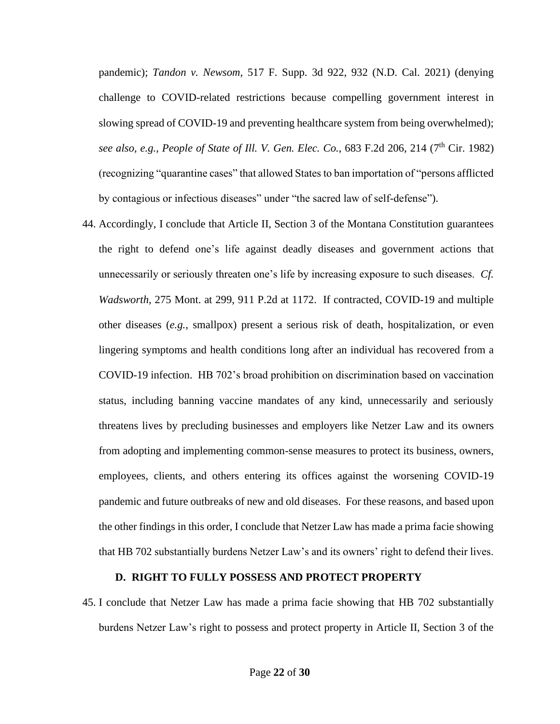pandemic); *Tandon v. Newsom,* 517 F. Supp. 3d 922, 932 (N.D. Cal. 2021) (denying challenge to COVID-related restrictions because compelling government interest in slowing spread of COVID-19 and preventing healthcare system from being overwhelmed); *see also, e.g.*, *People of State of Ill. V. Gen. Elec. Co.*, 683 F.2d 206, 214 (7th Cir. 1982) (recognizing "quarantine cases" that allowed States to ban importation of "persons afflicted by contagious or infectious diseases" under "the sacred law of self-defense").

44. Accordingly, I conclude that Article II, Section 3 of the Montana Constitution guarantees the right to defend one's life against deadly diseases and government actions that unnecessarily or seriously threaten one's life by increasing exposure to such diseases. *Cf. Wadsworth*, 275 Mont. at 299, 911 P.2d at 1172. If contracted, COVID-19 and multiple other diseases (*e.g.*, smallpox) present a serious risk of death, hospitalization, or even lingering symptoms and health conditions long after an individual has recovered from a COVID-19 infection. HB 702's broad prohibition on discrimination based on vaccination status, including banning vaccine mandates of any kind, unnecessarily and seriously threatens lives by precluding businesses and employers like Netzer Law and its owners from adopting and implementing common-sense measures to protect its business, owners, employees, clients, and others entering its offices against the worsening COVID-19 pandemic and future outbreaks of new and old diseases. For these reasons, and based upon the other findings in this order, I conclude that Netzer Law has made a prima facie showing that HB 702 substantially burdens Netzer Law's and its owners' right to defend their lives.

#### **D. RIGHT TO FULLY POSSESS AND PROTECT PROPERTY**

45. I conclude that Netzer Law has made a prima facie showing that HB 702 substantially burdens Netzer Law's right to possess and protect property in Article II, Section 3 of the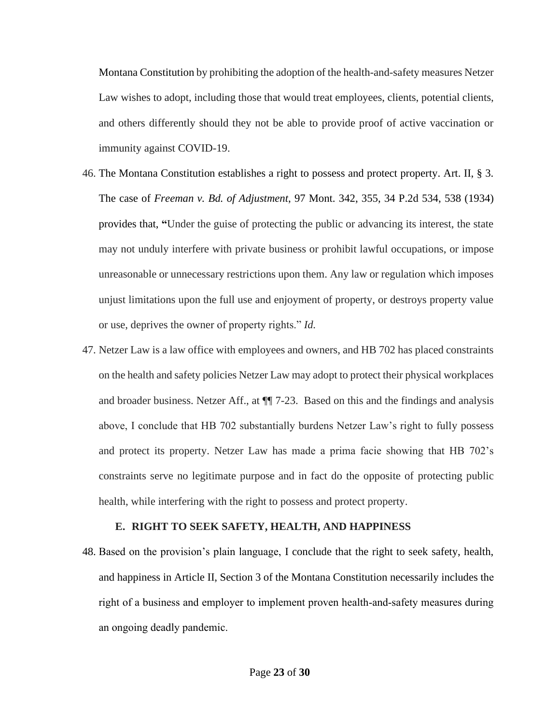Montana Constitution by prohibiting the adoption of the health-and-safety measures Netzer Law wishes to adopt, including those that would treat employees, clients, potential clients, and others differently should they not be able to provide proof of active vaccination or immunity against COVID-19.

- 46. The Montana Constitution establishes a right to possess and protect property. Art. II, § 3. The case of *Freeman v. Bd. of [Adjustment](https://advance.lexis.com/api/document/collection/cases/id/402C-H2G0-00KR-F0VC-00000-00?page=355&reporter=3260&cite=97%20Mont.%20342&context=1000516)*, 97 Mont. 342, 355, 34 P.2d 534, 538 (1934) provides that, **"**Under the guise of protecting the public or advancing its interest, the state may not unduly interfere with private business or prohibit lawful occupations, or impose unreasonable or unnecessary restrictions upon them. Any law or regulation which imposes unjust limitations upon the full use and enjoyment of property, or destroys property value or use, deprives the owner of property rights." *Id.*
- 47. Netzer Law is a law office with employees and owners, and HB 702 has placed constraints on the health and safety policies Netzer Law may adopt to protect their physical workplaces and broader business. Netzer Aff., at ¶¶ 7-23. Based on this and the findings and analysis above, I conclude that HB 702 substantially burdens Netzer Law's right to fully possess and protect its property. Netzer Law has made a prima facie showing that HB 702's constraints serve no legitimate purpose and in fact do the opposite of protecting public health, while interfering with the right to possess and protect property.

#### **E. RIGHT TO SEEK SAFETY, HEALTH, AND HAPPINESS**

48. Based on the provision's plain language, I conclude that the right to seek safety, health, and happiness in Article II, Section 3 of the Montana Constitution necessarily includes the right of a business and employer to implement proven health-and-safety measures during an ongoing deadly pandemic.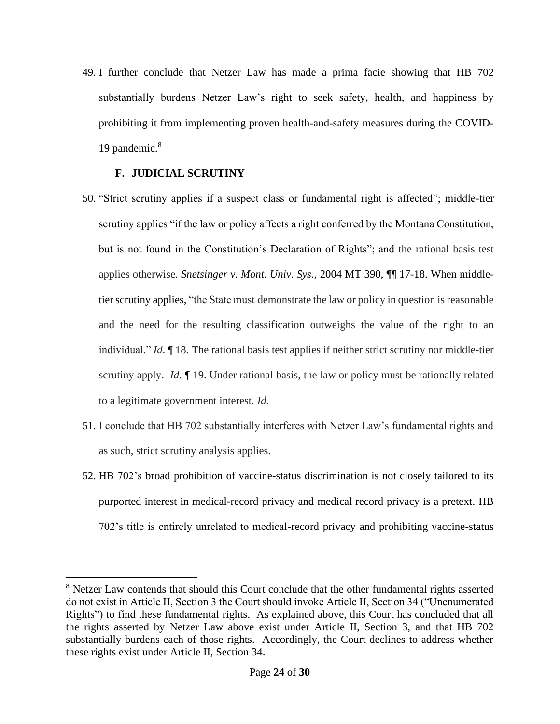49. I further conclude that Netzer Law has made a prima facie showing that HB 702 substantially burdens Netzer Law's right to seek safety, health, and happiness by prohibiting it from implementing proven health-and-safety measures during the COVID-19 pandemic.<sup>8</sup>

## **F. JUDICIAL SCRUTINY**

- 50. "Strict scrutiny applies if a suspect class or fundamental right is affected"; middle-tier scrutiny applies "if the law or policy affects a right conferred by the Montana Constitution, but is not found in the Constitution's Declaration of Rights"; and the rational basis test applies otherwise. *Snetsinger v. Mont. Univ. Sys.,* 2004 MT 390, ¶¶ 17-18. When middletier scrutiny applies, "the State must demonstrate the law or policy in question is reasonable and the need for the resulting classification outweighs the value of the right to an individual." *Id*. ¶ 18. The rational basis test applies if neither strict scrutiny nor middle-tier scrutiny apply. *Id*. ¶ 19. Under rational basis, the law or policy must be rationally related to a legitimate government interest. *Id.*
- 51. I conclude that HB 702 substantially interferes with Netzer Law's fundamental rights and as such, strict scrutiny analysis applies.
- 52. HB 702's broad prohibition of vaccine-status discrimination is not closely tailored to its purported interest in medical-record privacy and medical record privacy is a pretext. HB 702's title is entirely unrelated to medical-record privacy and prohibiting vaccine-status

<sup>&</sup>lt;sup>8</sup> Netzer Law contends that should this Court conclude that the other fundamental rights asserted do not exist in Article II, Section 3 the Court should invoke Article II, Section 34 ("Unenumerated Rights") to find these fundamental rights. As explained above, this Court has concluded that all the rights asserted by Netzer Law above exist under Article II, Section 3, and that HB 702 substantially burdens each of those rights. Accordingly, the Court declines to address whether these rights exist under Article II, Section 34.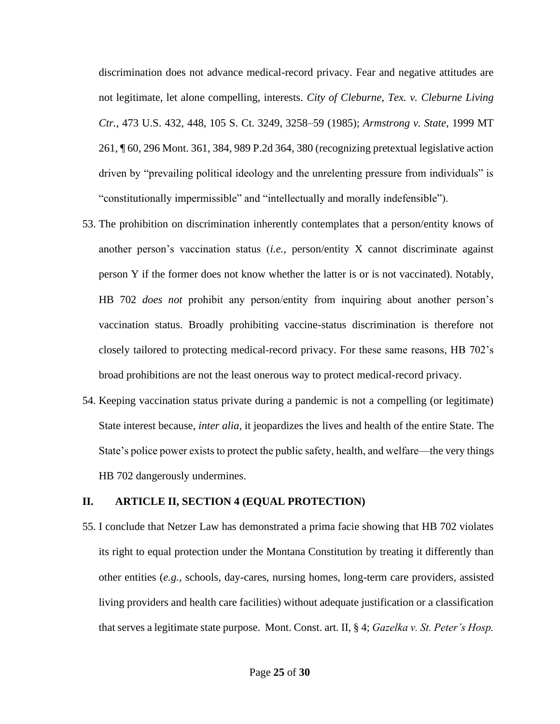discrimination does not advance medical-record privacy. Fear and negative attitudes are not legitimate, let alone compelling, interests. *City of Cleburne, Tex. v. Cleburne Living Ctr.*, 473 U.S. 432, 448, 105 S. Ct. 3249, 3258–59 (1985); *Armstrong v. State*, 1999 MT 261, ¶ 60, 296 Mont. 361, 384, 989 P.2d 364, 380 (recognizing pretextual legislative action driven by "prevailing political ideology and the unrelenting pressure from individuals" is "constitutionally impermissible" and "intellectually and morally indefensible").

- 53. The prohibition on discrimination inherently contemplates that a person/entity knows of another person's vaccination status (*i.e.*, person/entity X cannot discriminate against person Y if the former does not know whether the latter is or is not vaccinated). Notably, HB 702 *does not* prohibit any person/entity from inquiring about another person's vaccination status. Broadly prohibiting vaccine-status discrimination is therefore not closely tailored to protecting medical-record privacy. For these same reasons, HB 702's broad prohibitions are not the least onerous way to protect medical-record privacy.
- 54. Keeping vaccination status private during a pandemic is not a compelling (or legitimate) State interest because, *inter alia*, it jeopardizes the lives and health of the entire State. The State's police power exists to protect the public safety, health, and welfare—the very things HB 702 dangerously undermines.

### **II. ARTICLE II, SECTION 4 (EQUAL PROTECTION)**

55. I conclude that Netzer Law has demonstrated a prima facie showing that HB 702 violates its right to equal protection under the Montana Constitution by treating it differently than other entities (*e.g.*, schools, day-cares, nursing homes, long-term care providers, assisted living providers and health care facilities) without adequate justification or a classification that serves a legitimate state purpose. Mont. Const. art. II, § 4; *Gazelka v. St. Peter's Hosp.*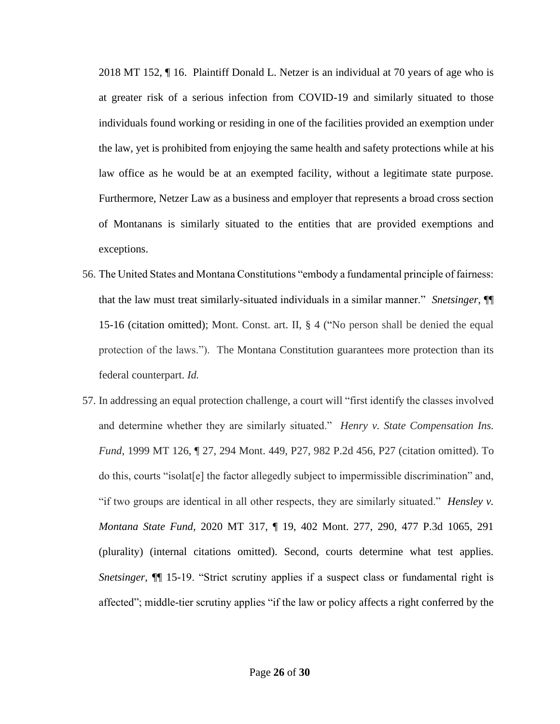2018 MT 152, ¶ 16. Plaintiff Donald L. Netzer is an individual at 70 years of age who is at greater risk of a serious infection from COVID-19 and similarly situated to those individuals found working or residing in one of the facilities provided an exemption under the law, yet is prohibited from enjoying the same health and safety protections while at his law office as he would be at an exempted facility, without a legitimate state purpose. Furthermore, Netzer Law as a business and employer that represents a broad cross section of Montanans is similarly situated to the entities that are provided exemptions and exceptions.

- 56. The United States and Montana Constitutions "embody a fundamental principle of fairness: that the law must treat similarly-situated individuals in a similar manner." *Snetsinger*, ¶¶ 15-16 (citation omitted); Mont. Const. art. II, § 4 ("No person shall be denied the equal protection of the laws."). The Montana Constitution guarantees more protection than its federal counterpart. *Id.*
- 57. In addressing an equal protection challenge, a court will "first identify the classes involved and determine whether they are similarly situated." *Henry v. State Compensation Ins. Fund*, 1999 MT 126,  $\sqrt{27}$ , 294 Mont. 449, P27, 982 P.2d 456, P27 (citation omitted). To do this, courts "isolat[e] the factor allegedly subject to impermissible discrimination" and, "if two groups are identical in all other respects, they are similarly situated." *Hensley v. Montana State Fund*, 2020 MT 317, ¶ 19, 402 Mont. 277, 290, 477 P.3d 1065, 291 (plurality) (internal citations omitted). Second, courts determine what test applies. *Snetsinger*, ¶¶ 15-19. "Strict scrutiny applies if a suspect class or fundamental right is affected"; middle-tier scrutiny applies "if the law or policy affects a right conferred by the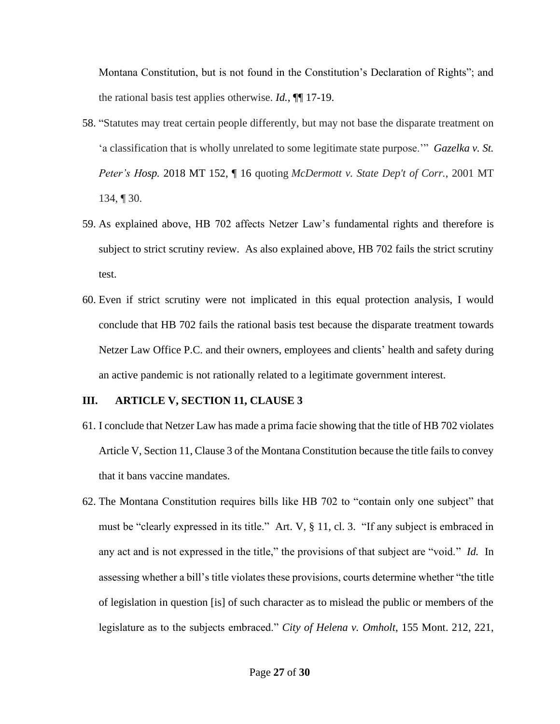Montana Constitution, but is not found in the Constitution's Declaration of Rights"; and the rational basis test applies otherwise. *Id.*, ¶¶ 17-19.

- 58. "Statutes may treat certain people differently, but may not base the disparate treatment on 'a classification that is wholly unrelated to some legitimate state purpose.'" *Gazelka v. St. Peter's Hosp.* 2018 MT 152, ¶ 16 quoting *McDermott v. State Dep't of Corr.*, 2001 MT 134, ¶ 30.
- 59. As explained above, HB 702 affects Netzer Law's fundamental rights and therefore is subject to strict scrutiny review. As also explained above, HB 702 fails the strict scrutiny test.
- 60. Even if strict scrutiny were not implicated in this equal protection analysis, I would conclude that HB 702 fails the rational basis test because the disparate treatment towards Netzer Law Office P.C. and their owners, employees and clients' health and safety during an active pandemic is not rationally related to a legitimate government interest.

#### **III. ARTICLE V, SECTION 11, CLAUSE 3**

- 61. I conclude that Netzer Law has made a prima facie showing that the title of HB 702 violates Article V, Section 11, Clause 3 of the Montana Constitution because the title fails to convey that it bans vaccine mandates.
- 62. The Montana Constitution requires bills like HB 702 to "contain only one subject" that must be "clearly expressed in its title." Art. V, § 11, cl. 3. "If any subject is embraced in any act and is not expressed in the title," the provisions of that subject are "void." *Id.* In assessing whether a bill's title violates these provisions, courts determine whether "the title of legislation in question [is] of such character as to mislead the public or members of the legislature as to the subjects embraced." *City of Helena v. Omholt*, 155 Mont. 212, 221,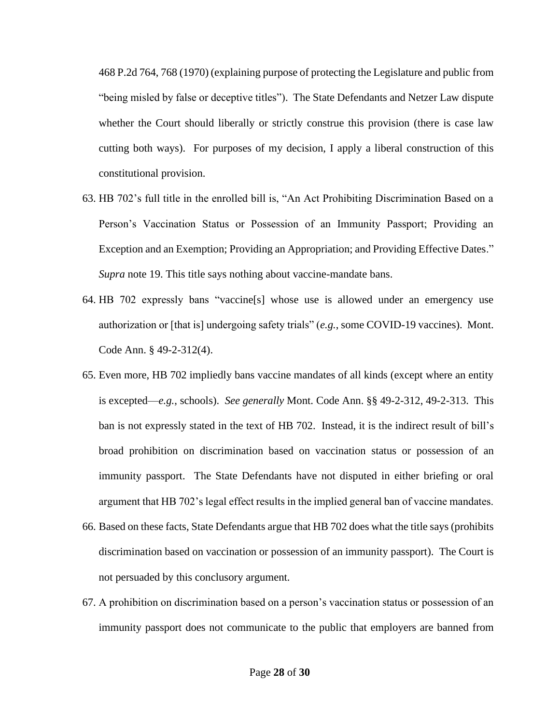468 P.2d 764, 768 (1970) (explaining purpose of protecting the Legislature and public from "being misled by false or deceptive titles"). The State Defendants and Netzer Law dispute whether the Court should liberally or strictly construe this provision (there is case law cutting both ways). For purposes of my decision, I apply a liberal construction of this constitutional provision.

- 63. HB 702's full title in the enrolled bill is, "An Act Prohibiting Discrimination Based on a Person's Vaccination Status or Possession of an Immunity Passport; Providing an Exception and an Exemption; Providing an Appropriation; and Providing Effective Dates." *Supra* note 19. This title says nothing about vaccine-mandate bans.
- 64. HB 702 expressly bans "vaccine[s] whose use is allowed under an emergency use authorization or [that is] undergoing safety trials" (*e.g.*, some COVID-19 vaccines). Mont. Code Ann. § 49-2-312(4).
- 65. Even more, HB 702 impliedly bans vaccine mandates of all kinds (except where an entity is excepted—*e.g.*, schools). *See generally* Mont. Code Ann. §§ 49-2-312, 49-2-313. This ban is not expressly stated in the text of HB 702. Instead, it is the indirect result of bill's broad prohibition on discrimination based on vaccination status or possession of an immunity passport. The State Defendants have not disputed in either briefing or oral argument that HB 702's legal effect results in the implied general ban of vaccine mandates.
- 66. Based on these facts, State Defendants argue that HB 702 does what the title says (prohibits discrimination based on vaccination or possession of an immunity passport). The Court is not persuaded by this conclusory argument.
- 67. A prohibition on discrimination based on a person's vaccination status or possession of an immunity passport does not communicate to the public that employers are banned from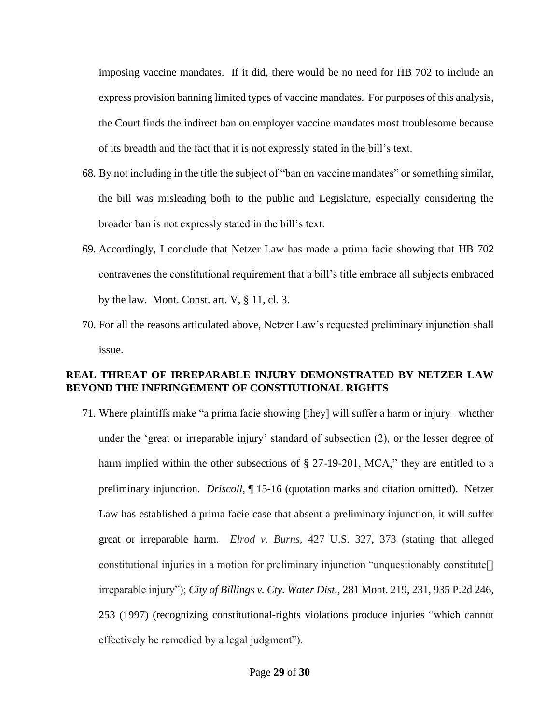imposing vaccine mandates. If it did, there would be no need for HB 702 to include an express provision banning limited types of vaccine mandates. For purposes of this analysis, the Court finds the indirect ban on employer vaccine mandates most troublesome because of its breadth and the fact that it is not expressly stated in the bill's text.

- 68. By not including in the title the subject of "ban on vaccine mandates" or something similar, the bill was misleading both to the public and Legislature, especially considering the broader ban is not expressly stated in the bill's text.
- 69. Accordingly, I conclude that Netzer Law has made a prima facie showing that HB 702 contravenes the constitutional requirement that a bill's title embrace all subjects embraced by the law. Mont. Const. art. V, § 11, cl. 3.
- 70. For all the reasons articulated above, Netzer Law's requested preliminary injunction shall issue.

### **REAL THREAT OF IRREPARABLE INJURY DEMONSTRATED BY NETZER LAW BEYOND THE INFRINGEMENT OF CONSTIUTIONAL RIGHTS**

71. Where plaintiffs make "a prima facie showing [they] will suffer a harm or injury –whether under the 'great or irreparable injury' standard of subsection (2), or the lesser degree of harm implied within the other subsections of § 27-19-201, MCA," they are entitled to a preliminary injunction. *Driscoll*, ¶ 15-16 (quotation marks and citation omitted). Netzer Law has established a prima facie case that absent a preliminary injunction, it will suffer great or irreparable harm. *Elrod v. Burns,* 427 U.S. 327, 373 (stating that alleged constitutional injuries in a motion for preliminary injunction "unquestionably constitute[] irreparable injury"); *City of Billings v. Cty. Water Dist.,* 281 Mont. 219, 231, 935 P.2d 246, 253 (1997) (recognizing constitutional-rights violations produce injuries "which cannot effectively be remedied by a legal judgment").